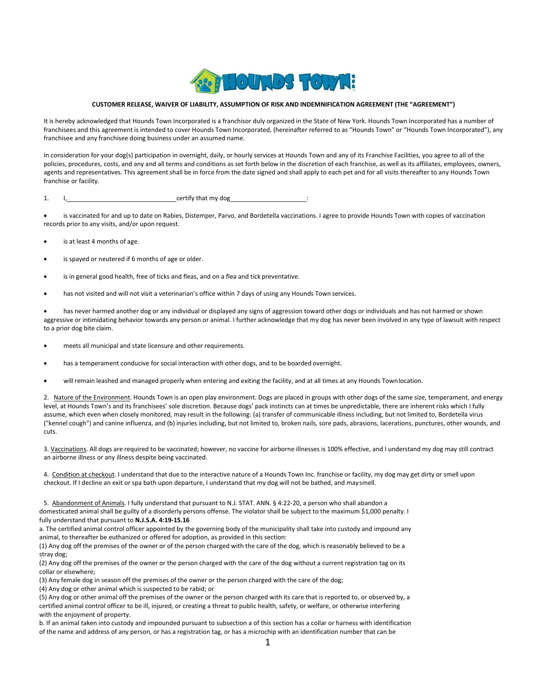

## CUSTOMER RELEASE, WAIVER OF LIABILITY, ASSUMPTION OF RISK AND INDEMNIFICATION AGREEMENT (THE "AGREEMENT")

It is hereby acknowledged that Hounds Town Incorporated is a franchisor duly organized in the State of New York. Hounds Town Incorporated has a number of franchisees and this agreement is intended to cover Hounds Town Incorporated, (hereinafter referred to as "Hounds Town" or "Hounds Town Incorporated"), any franchisee and any franchisee doing business under an assumed name.

In consideration for your dog(s) participation in overnight, daily, or hourly services at Hounds Town and any of its Franchise Facilities, you agree to all of the policies, procedures, costs, and any and all terms and conditions as set forth below in the discretion of each franchise, as well as its affiliates, employees, owners, agents and representatives. This agreement shall be in force from the date signed and shall apply to each pet and for all visits thereafter to any Hounds Town franchise or facility.

1. I, 1, 2008 [1] certify that my dog 2008 [1] certify that my dog 2008 [1] certify that my dog 2008 [1]  $\sigma$ 

 is vaccinated for and up to date on Rabies, Distemper, Parvo, and Bordetella vaccinations. I agree to provide Hounds Town with copies of vaccination records prior to any visits, and/or upon request.

- is at least 4 months of age.
- is spayed or neutered if 6 months of age or older.
- is in general good health, free of ticks and fleas, and on a flea and tick preventative.
- has not visited and will not visit a veterinarian's office within 7 days of using any Hounds Town services.

 has never harmed another dog or any individual or displayed any signs of aggression toward other dogs or individuals and has not harmed or shown aggressive or intimidating behavior towards any person or animal. I further acknowledge that my dog has never been involved in any type of lawsuit with respect to a prior dog bite claim.

- meets all municipal and state licensure and other requirements.
- has a temperament conducive for social interaction with other dogs, and to be boarded overnight.
- will remain leashed and managed properly when entering and exiting the facility, and at all times at any Hounds Town location.

2. Nature of the Environment. Hounds Town is an open play environment. Dogs are placed in groups with other dogs of the same size, temperament, and energy level, at Hounds Town's and its franchisees' sole discretion. Because dogs' pack instincts can at times be unpredictable, there are inherent risks which I fully assume, which even when closely monitored, may result in the following: (a) transfer of communicable illness including, but not limited to, Bordetella virus ("kennel cough") and canine influenza, and (b) injuries including, but not limited to, broken nails, sore pads, abrasions, lacerations, punctures, other wounds, and cuts.

3. Vaccinations. All dogs are required to be vaccinated; however, no vaccine for airborne illnesses is 100% effective, and I understand my dog may still contract an airborne illness or any illness despite being vaccinated.

4. Condition at checkout. I understand that due to the interactive nature of a Hounds Town Inc. franchise or facility, my dog may get dirty or smell upon checkout. If I decline an exit or spa bath upon departure, I understand that my dog will not be bathed, and may smell.

5. Abandonment of Animals. I fully understand that pursuant to N.J. STAT. ANN. § 4:22-20, a person who shall abandon a domesticated animal shall be guilty of a disorderly persons offense. The violator shall be subject to the maximum \$1,000 penalty. I fully understand that pursuant to N.J.S.A. 4:19-15.16

a. The certified animal control officer appointed by the governing body of the municipality shall take into custody and impound any animal, to thereafter be euthanized or offered for adoption, as provided in this section:

(1) Any dog off the premises of the owner or of the person charged with the care of the dog, which is reasonably believed to be a stray dog;

(2) Any dog off the premises of the owner or the person charged with the care of the dog without a current registration tag on its collar or elsewhere;

(3) Any female dog in season off the premises of the owner or the person charged with the care of the dog;

(4) Any dog or other animal which is suspected to be rabid; or

(5) Any dog or other animal off the premises of the owner or the person charged with its care that is reported to, or observed by, a certified animal control officer to be ill, injured, or creating a threat to public health, safety, or welfare, or otherwise interfering with the enjoyment of property.

b. If an animal taken into custody and impounded pursuant to subsection a of this section has a collar or harness with identification of the name and address of any person, or has a registration tag, or has a microchip with an identification number that can be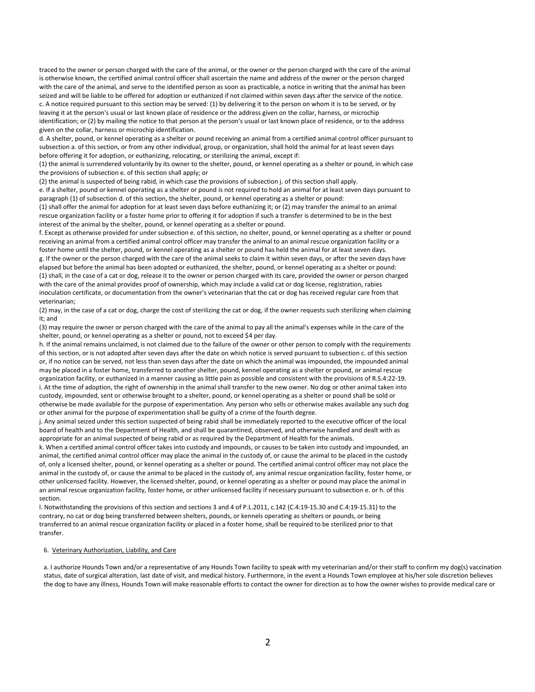traced to the owner or person charged with the care of the animal, or the owner or the person charged with the care of the animal is otherwise known, the certified animal control officer shall ascertain the name and address of the owner or the person charged with the care of the animal, and serve to the identified person as soon as practicable, a notice in writing that the animal has been seized and will be liable to be offered for adoption or euthanized if not claimed within seven days after the service of the notice.

c. A notice required pursuant to this section may be served: (1) by delivering it to the person on whom it is to be served, or by leaving it at the person's usual or last known place of residence or the address given on the collar, harness, or microchip identification; or (2) by mailing the notice to that person at the person's usual or last known place of residence, or to the address given on the collar, harness or microchip identification.

d. A shelter, pound, or kennel operating as a shelter or pound receiving an animal from a certified animal control officer pursuant to subsection a. of this section, or from any other individual, group, or organization, shall hold the animal for at least seven days before offering it for adoption, or euthanizing, relocating, or sterilizing the animal, except if:

(1) the animal is surrendered voluntarily by its owner to the shelter, pound, or kennel operating as a shelter or pound, in which case the provisions of subsection e. of this section shall apply; or

(2) the animal is suspected of being rabid, in which case the provisions of subsection j. of this section shall apply. e. If a shelter, pound or kennel operating as a shelter or pound is not required to hold an animal for at least seven days pursuant to paragraph (1) of subsection d. of this section, the shelter, pound, or kennel operating as a shelter or pound:

(1) shall offer the animal for adoption for at least seven days before euthanizing it; or (2) may transfer the animal to an animal rescue organization facility or a foster home prior to offering it for adoption if such a transfer is determined to be in the best interest of the animal by the shelter, pound, or kennel operating as a shelter or pound.

f. Except as otherwise provided for under subsection e. of this section, no shelter, pound, or kennel operating as a shelter or pound receiving an animal from a certified animal control officer may transfer the animal to an animal rescue organization facility or a foster home until the shelter, pound, or kennel operating as a shelter or pound has held the animal for at least seven days. g. If the owner or the person charged with the care of the animal seeks to claim it within seven days, or after the seven days have elapsed but before the animal has been adopted or euthanized, the shelter, pound, or kennel operating as a shelter or pound: (1) shall, in the case of a cat or dog, release it to the owner or person charged with its care, provided the owner or person charged with the care of the animal provides proof of ownership, which may include a valid cat or dog license, registration, rabies inoculation certificate, or documentation from the owner's veterinarian that the cat or dog has received regular care from that veterinarian;

(2) may, in the case of a cat or dog, charge the cost of sterilizing the cat or dog, if the owner requests such sterilizing when claiming it; and

(3) may require the owner or person charged with the care of the animal to pay all the animal's expenses while in the care of the shelter, pound, or kennel operating as a shelter or pound, not to exceed \$4 per day.

h. If the animal remains unclaimed, is not claimed due to the failure of the owner or other person to comply with the requirements of this section, or is not adopted after seven days after the date on which notice is served pursuant to subsection c. of this section or, if no notice can be served, not less than seven days after the date on which the animal was impounded, the impounded animal may be placed in a foster home, transferred to another shelter, pound, kennel operating as a shelter or pound, or animal rescue organization facility, or euthanized in a manner causing as little pain as possible and consistent with the provisions of R.S.4:22-19. i. At the time of adoption, the right of ownership in the animal shall transfer to the new owner. No dog or other animal taken into custody, impounded, sent or otherwise brought to a shelter, pound, or kennel operating as a shelter or pound shall be sold or otherwise be made available for the purpose of experimentation. Any person who sells or otherwise makes available any such dog or other animal for the purpose of experimentation shall be guilty of a crime of the fourth degree.

j. Any animal seized under this section suspected of being rabid shall be immediately reported to the executive officer of the local board of health and to the Department of Health, and shall be quarantined, observed, and otherwise handled and dealt with as appropriate for an animal suspected of being rabid or as required by the Department of Health for the animals.

k. When a certified animal control officer takes into custody and impounds, or causes to be taken into custody and impounded, an animal, the certified animal control officer may place the animal in the custody of, or cause the animal to be placed in the custody of, only a licensed shelter, pound, or kennel operating as a shelter or pound. The certified animal control officer may not place the animal in the custody of, or cause the animal to be placed in the custody of, any animal rescue organization facility, foster home, or other unlicensed facility. However, the licensed shelter, pound, or kennel operating as a shelter or pound may place the animal in an animal rescue organization facility, foster home, or other unlicensed facility if necessary pursuant to subsection e. or h. of this section.

l. Notwithstanding the provisions of this section and sections 3 and 4 of P.L.2011, c.142 (C.4:19-15.30 and C.4:19-15.31) to the contrary, no cat or dog being transferred between shelters, pounds, or kennels operating as shelters or pounds, or being transferred to an animal rescue organization facility or placed in a foster home, shall be required to be sterilized prior to that transfer.

## 6. Veterinary Authorization, Liability, and Care

a. I authorize Hounds Town and/or a representative of any Hounds Town facility to speak with my veterinarian and/or their staff to confirm my dog(s) vaccination status, date of surgical alteration, last date of visit, and medical history. Furthermore, in the event a Hounds Town employee at his/her sole discretion believes the dog to have any illness, Hounds Town will make reasonable efforts to contact the owner for direction as to how the owner wishes to provide medical care or